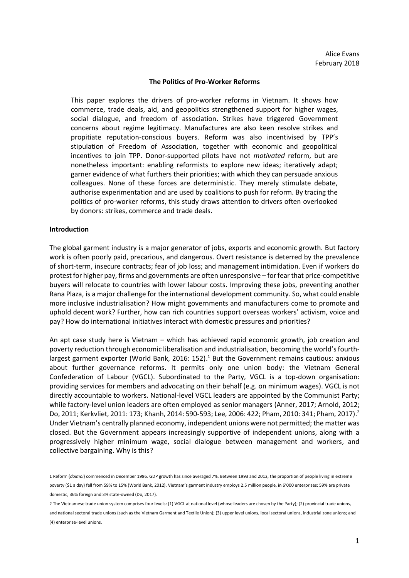#### **The Politics of Pro-Worker Reforms**

This paper explores the drivers of pro-worker reforms in Vietnam. It shows how commerce, trade deals, aid, and geopolitics strengthened support for higher wages, social dialogue, and freedom of association. Strikes have triggered Government concerns about regime legitimacy. Manufactures are also keen resolve strikes and propitiate reputation-conscious buyers. Reform was also incentivised by TPP's stipulation of Freedom of Association, together with economic and geopolitical incentives to join TPP. Donor-supported pilots have not *motivated* reform, but are nonetheless important: enabling reformists to explore new ideas; iteratively adapt; garner evidence of what furthers their priorities; with which they can persuade anxious colleagues. None of these forces are deterministic. They merely stimulate debate, authorise experimentation and are used by coalitions to push for reform. By tracing the politics of pro-worker reforms, this study draws attention to drivers often overlooked by donors: strikes, commerce and trade deals.

#### **Introduction**

-

The global garment industry is a major generator of jobs, exports and economic growth. But factory work is often poorly paid, precarious, and dangerous. Overt resistance is deterred by the prevalence of short-term, insecure contracts; fear of job loss; and management intimidation. Even if workers do protest for higher pay, firms and governments are often unresponsive – for fear that price-competitive buyers will relocate to countries with lower labour costs. Improving these jobs, preventing another Rana Plaza, is a major challenge for the international development community. So, what could enable more inclusive industrialisation? How might governments and manufacturers come to promote and uphold decent work? Further, how can rich countries support overseas workers' activism, voice and pay? How do international initiatives interact with domestic pressures and priorities?

An apt case study here is Vietnam – which has achieved rapid economic growth, job creation and poverty reduction through economic liberalisation and industrialisation, becoming the world's fourthlargest garment exporter (World Bank, 2016: 152).<sup>1</sup> But the Government remains cautious: anxious about further governance reforms. It permits only one union body: the Vietnam General Confederation of Labour (VGCL). Subordinated to the Party, VGCL is a top-down organisation: providing services for members and advocating on their behalf (e.g. on minimum wages). VGCL is not directly accountable to workers. National-level VGCL leaders are appointed by the Communist Party; while factory-level union leaders are often employed as senior managers (Anner, 2017; Arnold, 2012; Do, 2011; Kerkvliet, 2011: 173; Khanh, 2014: 590-593; Lee, 2006: 422; Pham, 2010: 341; Pham, 2017).<sup>2</sup> Under Vietnam's centrally planned economy, independent unions were not permitted; the matter was closed. But the Government appears increasingly supportive of independent unions, along with a progressively higher minimum wage, social dialogue between management and workers, and collective bargaining. Why is this?

<sup>1</sup> Reform (*doimoi*) commenced in December 1986. GDP growth has since averaged 7%. Between 1993 and 2012, the proportion of people living in extreme poverty (\$1 a day) fell from 59% to 15% (World Bank, 2012). Vietnam's garment industry employs 2.5 million people, in 6'000 enterprises: 59% are private domestic, 36% foreign and 3% state-owned (Do, 2017).

<sup>2</sup> The Vietnamese trade union system comprises four levels: (1) VGCL at national level (whose leaders are chosen by the Party); (2) provincial trade unions, and national sectoral trade unions (such as the Vietnam Garment and Textile Union); (3) upper level unions, local sectoral unions, industrial zone unions; and (4) enterprise-level unions.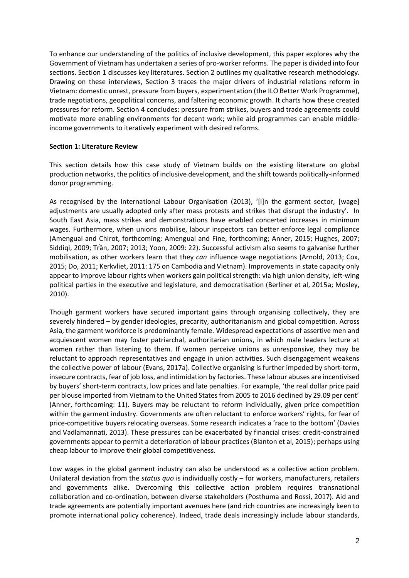To enhance our understanding of the politics of inclusive development, this paper explores why the Government of Vietnam has undertaken a series of pro-worker reforms. The paper is divided into four sections. Section 1 discusses key literatures. Section 2 outlines my qualitative research methodology. Drawing on these interviews, Section 3 traces the major drivers of industrial relations reform in Vietnam: domestic unrest, pressure from buyers, experimentation (the ILO Better Work Programme), trade negotiations, geopolitical concerns, and faltering economic growth. It charts how these created pressures for reform. Section 4 concludes: pressure from strikes, buyers and trade agreements could motivate more enabling environments for decent work; while aid programmes can enable middleincome governments to iteratively experiment with desired reforms.

## **Section 1: Literature Review**

This section details how this case study of Vietnam builds on the existing literature on global production networks, the politics of inclusive development, and the shift towards politically-informed donor programming.

As recognised by the International Labour Organisation (2013), '[i]n the garment sector, [wage] adjustments are usually adopted only after mass protests and strikes that disrupt the industry'. In South East Asia, mass strikes and demonstrations have enabled concerted increases in minimum wages. Furthermore, when unions mobilise, labour inspectors can better enforce legal compliance (Amengual and Chirot, forthcoming; Amengual and Fine, forthcoming; Anner, 2015; Hughes, 2007; Siddiqi, 2009; Trần, 2007; 2013; Yoon, 2009: 22). Successful activism also seems to galvanise further mobilisation, as other workers learn that they *can* influence wage negotiations (Arnold, 2013; Cox, 2015; Do, 2011; Kerkvliet, 2011: 175 on Cambodia and Vietnam). Improvements in state capacity only appear to improve labour rights when workers gain political strength: via high union density, left-wing political parties in the executive and legislature, and democratisation (Berliner et al, 2015a; Mosley, 2010).

Though garment workers have secured important gains through organising collectively, they are severely hindered – by gender ideologies, precarity, authoritarianism and global competition. Across Asia, the garment workforce is predominantly female. Widespread expectations of assertive men and acquiescent women may foster patriarchal, authoritarian unions, in which male leaders lecture at women rather than listening to them. If women perceive unions as unresponsive, they may be reluctant to approach representatives and engage in union activities. Such disengagement weakens the collective power of labour (Evans, 2017a). Collective organising is further impeded by short-term, insecure contracts, fear of job loss, and intimidation by factories. These labour abuses are incentivised by buyers' short-term contracts, low prices and late penalties. For example, 'the real dollar price paid per blouse imported from Vietnam to the United States from 2005 to 2016 declined by 29.09 per cent' (Anner, forthcoming: 11). Buyers may be reluctant to reform individually, given price competition within the garment industry. Governments are often reluctant to enforce workers' rights, for fear of price-competitive buyers relocating overseas. Some research indicates a 'race to the bottom' (Davies and Vadlamannati, 2013). These pressures can be exacerbated by financial crises: credit-constrained governments appear to permit a deterioration of labour practices (Blanton et al, 2015); perhaps using cheap labour to improve their global competitiveness.

Low wages in the global garment industry can also be understood as a collective action problem. Unilateral deviation from the *status quo* is individually costly – for workers, manufacturers, retailers and governments alike. Overcoming this collective action problem requires transnational collaboration and co-ordination, between diverse stakeholders (Posthuma and Rossi, 2017). Aid and trade agreements are potentially important avenues here (and rich countries are increasingly keen to promote international policy coherence). Indeed, trade deals increasingly include labour standards,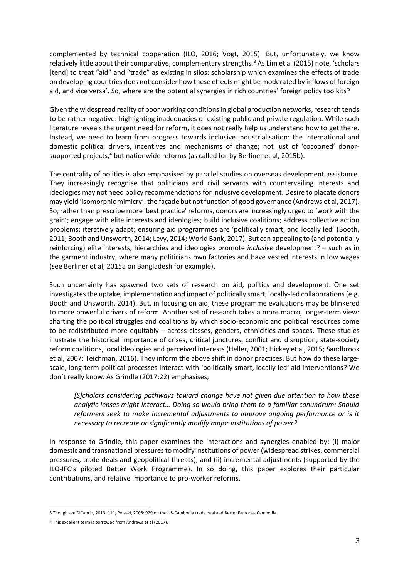complemented by technical cooperation (ILO, 2016; Vogt, 2015). But, unfortunately, we know relatively little about their comparative, complementary strengths.<sup>3</sup> As Lim et al (2015) note, 'scholars [tend] to treat "aid" and "trade" as existing in silos: scholarship which examines the effects of trade on developing countries does not consider how these effects might be moderated by inflows of foreign aid, and vice versa'. So, where are the potential synergies in rich countries' foreign policy toolkits?

Given the widespread reality of poor working conditions in global production networks, research tends to be rather negative: highlighting inadequacies of existing public and private regulation. While such literature reveals the urgent need for reform, it does not really help us understand how to get there. Instead, we need to learn from progress towards inclusive industrialisation: the international and domestic political drivers, incentives and mechanisms of change; not just of 'cocooned' donorsupported projects, $4$  but nationwide reforms (as called for by Berliner et al, 2015b).

The centrality of politics is also emphasised by parallel studies on overseas development assistance. They increasingly recognise that politicians and civil servants with countervailing interests and ideologies may not heed policy recommendations for inclusive development. Desire to placate donors may yield 'isomorphic mimicry': the façade but not function of good governance (Andrews et al, 2017). So, rather than prescribe more 'best practice' reforms, donors are increasingly urged to 'work with the grain'; engage with elite interests and ideologies; build inclusive coalitions; address collective action problems; iteratively adapt; ensuring aid programmes are 'politically smart, and locally led' (Booth, 2011; Booth and Unsworth, 2014; Levy, 2014; World Bank, 2017). But can appealing to (and potentially reinforcing) elite interests, hierarchies and ideologies promote *inclusive* development? – such as in the garment industry, where many politicians own factories and have vested interests in low wages (see Berliner et al, 2015a on Bangladesh for example).

Such uncertainty has spawned two sets of research on aid, politics and development. One set investigates the uptake, implementation and impact of politically smart, locally-led collaborations (e.g. Booth and Unsworth, 2014). But, in focusing on aid, these programme evaluations may be blinkered to more powerful drivers of reform. Another set of research takes a more macro, longer-term view: charting the political struggles and coalitions by which socio-economic and political resources come to be redistributed more equitably – across classes, genders, ethnicities and spaces. These studies illustrate the historical importance of crises, critical junctures, conflict and disruption, state-society reform coalitions, local ideologies and perceived interests (Heller, 2001; Hickey et al, 2015; Sandbrook et al, 2007; Teichman, 2016). They inform the above shift in donor practices. But how do these largescale, long-term political processes interact with 'politically smart, locally led' aid interventions? We don't really know. As Grindle (2017:22) emphasises,

*[S]cholars considering pathways toward change have not given due attention to how these analytic lenses might interact… Doing so would bring them to a familiar conundrum: Should reformers seek to make incremental adjustments to improve ongoing performance or is it necessary to recreate or significantly modify major institutions of power?*

In response to Grindle, this paper examines the interactions and synergies enabled by: (i) major domestic and transnational pressures to modify institutions of power (widespread strikes, commercial pressures, trade deals and geopolitical threats); and (ii) incremental adjustments (supported by the ILO-IFC's piloted Better Work Programme). In so doing, this paper explores their particular contributions, and relative importance to pro-worker reforms.

<sup>3</sup> Though see DiCaprio, 2013: 111; Polaski, 2006: 929 on the US-Cambodia trade deal and Better Factories Cambodia.

<sup>4</sup> This excellent term is borrowed from Andrews et al (2017).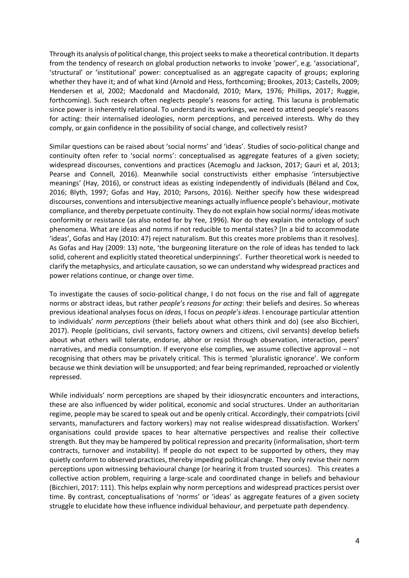Through its analysis of political change, this project seeks to make a theoretical contribution. It departs from the tendency of research on global production networks to invoke 'power', e.g. 'associational', 'structural' or 'institutional' power: conceptualised as an aggregate capacity of groups; exploring whether they have it; and of what kind (Arnold and Hess, forthcoming; Brookes, 2013; Castells, 2009; Hendersen et al, 2002; Macdonald and Macdonald, 2010; Marx, 1976; Phillips, 2017; Ruggie, forthcoming). Such research often neglects people's reasons for acting. This lacuna is problematic since power is inherently relational. To understand its workings, we need to attend people's reasons for acting: their internalised ideologies, norm perceptions, and perceived interests. Why do they comply, or gain confidence in the possibility of social change, and collectively resist?

Similar questions can be raised about 'social norms' and 'ideas'. Studies of socio-political change and continuity often refer to 'social norms': conceptualised as aggregate features of a given society; widespread discourses, conventions and practices (Acemoglu and Jackson, 2017; Gauri et al, 2013; Pearse and Connell, 2016). Meanwhile social constructivists either emphasise 'intersubjective meanings' (Hay, 2016), or construct ideas as existing independently of individuals (Béland and Cox, 2016; Blyth, 1997; Gofas and Hay, 2010; Parsons, 2016). Neither specify how these widespread discourses, conventions and intersubjective meanings actually influence people's behaviour, motivate compliance, and thereby perpetuate continuity. They do not explain how social norms/ ideas motivate conformity or resistance (as also noted for by Yee, 1996). Nor do they explain the ontology of such phenomena. What are ideas and norms if not reducible to mental states? [In a bid to accommodate 'ideas', Gofas and Hay (2010: 47) reject naturalism. But this creates more problems than it resolves]. As Gofas and Hay (2009: 13) note, 'the burgeoning literature on the role of ideas has tended to lack solid, coherent and explicitly stated theoretical underpinnings'. Further theoretical work is needed to clarify the metaphysics, and articulate causation, so we can understand why widespread practices and power relations continue, or change over time.

To investigate the causes of socio-political change, I do not focus on the rise and fall of aggregate norms or abstract ideas, but rather *people's reasons for acting*: their beliefs and desires. So whereas previous ideational analyses focus on *ideas*, I focus on *people's ideas*. I encourage particular attention to individuals' *norm perceptions* (their beliefs about what others think and do) (see also Bicchieri, 2017). People (politicians, civil servants, factory owners and citizens, civil servants) develop beliefs about what others will tolerate, endorse, abhor or resist through observation, interaction, peers' narratives, and media consumption. If everyone else complies, we assume collective approval – not recognising that others may be privately critical. This is termed 'pluralistic ignorance'. We conform because we think deviation will be unsupported; and fear being reprimanded, reproached or violently repressed.

While individuals' norm perceptions are shaped by their idiosyncratic encounters and interactions, these are also influenced by wider political, economic and social structures. Under an authoritarian regime, people may be scared to speak out and be openly critical. Accordingly, their compatriots (civil servants, manufacturers and factory workers) may not realise widespread dissatisfaction. Workers' organisations could provide spaces to hear alternative perspectives and realise their collective strength. But they may be hampered by political repression and precarity (informalisation, short-term contracts, turnover and instability). If people do not expect to be supported by others, they may quietly conform to observed practices, thereby impeding political change. They only revise their norm perceptions upon witnessing behavioural change (or hearing it from trusted sources). This creates a collective action problem, requiring a large-scale and coordinated change in beliefs and behaviour (Bicchieri, 2017: 111). This helps explain why norm perceptions and widespread practices persist over time. By contrast, conceptualisations of 'norms' or 'ideas' as aggregate features of a given society struggle to elucidate how these influence individual behaviour, and perpetuate path dependency.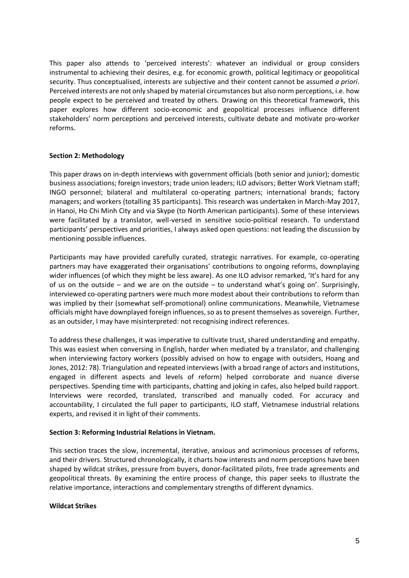This paper also attends to 'perceived interests': whatever an individual or group considers instrumental to achieving their desires, e.g. for economic growth, political legitimacy or geopolitical security. Thus conceptualised, interests are subjective and their content cannot be assumed *a priori*. Perceived interests are not only shaped by material circumstances but also norm perceptions, i.e. how people expect to be perceived and treated by others. Drawing on this theoretical framework, this paper explores how different socio-economic and geopolitical processes influence different stakeholders' norm perceptions and perceived interests, cultivate debate and motivate pro-worker reforms.

# **Section 2: Methodology**

This paper draws on in-depth interviews with government officials (both senior and junior); domestic business associations; foreign investors; trade union leaders; ILO advisors; Better Work Vietnam staff; INGO personnel; bilateral and multilateral co-operating partners; international brands; factory managers; and workers (totalling 35 participants). This research was undertaken in March-May 2017, in Hanoi, Ho Chi Minh City and via Skype (to North American participants). Some of these interviews were facilitated by a translator, well-versed in sensitive socio-political research. To understand participants' perspectives and priorities, I always asked open questions: not leading the discussion by mentioning possible influences.

Participants may have provided carefully curated, strategic narratives. For example, co-operating partners may have exaggerated their organisations' contributions to ongoing reforms, downplaying wider influences (of which they might be less aware). As one ILO advisor remarked, 'It's hard for any of us on the outside – and we are on the outside – to understand what's going on'. Surprisingly, interviewed co-operating partners were much more modest about their contributions to reform than was implied by their (somewhat self-promotional) online communications. Meanwhile, Vietnamese officials might have downplayed foreign influences, so as to present themselves as sovereign. Further, as an outsider, I may have misinterpreted: not recognising indirect references.

To address these challenges, it was imperative to cultivate trust, shared understanding and empathy. This was easiest when conversing in English, harder when mediated by a translator, and challenging when interviewing factory workers (possibly advised on how to engage with outsiders, Hoang and Jones, 2012: 78). Triangulation and repeated interviews (with a broad range of actors and institutions, engaged in different aspects and levels of reform) helped corroborate and nuance diverse perspectives. Spending time with participants, chatting and joking in cafes, also helped build rapport. Interviews were recorded, translated, transcribed and manually coded. For accuracy and accountability, I circulated the full paper to participants, ILO staff, Vietnamese industrial relations experts, and revised it in light of their comments.

# **Section 3: Reforming Industrial Relations in Vietnam.**

This section traces the slow, incremental, iterative, anxious and acrimonious processes of reforms, and their drivers. Structured chronologically, it charts how interests and norm perceptions have been shaped by wildcat strikes, pressure from buyers, donor-facilitated pilots, free trade agreements and geopolitical threats. By examining the entire process of change, this paper seeks to illustrate the relative importance, interactions and complementary strengths of different dynamics.

## **Wildcat Strikes**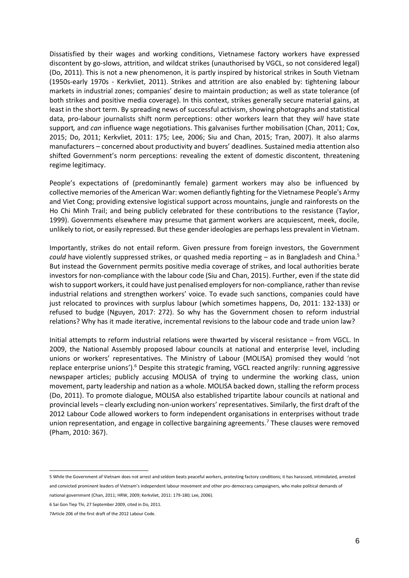Dissatisfied by their wages and working conditions, Vietnamese factory workers have expressed discontent by go-slows, attrition, and wildcat strikes (unauthorised by VGCL, so not considered legal) (Do, 2011). This is not a new phenomenon, it is partly inspired by historical strikes in South Vietnam (1950s-early 1970s - Kerkvliet, 2011). Strikes and attrition are also enabled by: tightening labour markets in industrial zones; companies' desire to maintain production; as well as state tolerance (of both strikes and positive media coverage). In this context, strikes generally secure material gains, at least in the short term. By spreading news of successful activism, showing photographs and statistical data, pro-labour journalists shift norm perceptions: other workers learn that they *will* have state support*,* and *can* influence wage negotiations. This galvanises further mobilisation (Chan, 2011; Cox, 2015; Do, 2011; Kerkvliet, 2011: 175; Lee, 2006; Siu and Chan, 2015; Tran, 2007). It also alarms manufacturers – concerned about productivity and buyers' deadlines. Sustained media attention also shifted Government's norm perceptions: revealing the extent of domestic discontent, threatening regime legitimacy.

People's expectations of (predominantly female) garment workers may also be influenced by collective memories of the American War: women defiantly fighting for the Vietnamese People's Army and Viet Cong; providing extensive logistical support across mountains, jungle and rainforests on the Ho Chi Minh Trail; and being publicly celebrated for these contributions to the resistance (Taylor, 1999). Governments elsewhere may presume that garment workers are acquiescent, meek, docile, unlikely to riot, or easily repressed. But these gender ideologies are perhaps less prevalent in Vietnam.

Importantly, strikes do not entail reform. Given pressure from foreign investors, the Government *could* have violently suppressed strikes, or quashed media reporting – as in Bangladesh and China. 5 But instead the Government permits positive media coverage of strikes, and local authorities berate investors for non-compliance with the labour code (Siu and Chan, 2015). Further, even if the state did wish to support workers, it could have just penalised employers for non-compliance, rather than revise industrial relations and strengthen workers' voice. To evade such sanctions, companies could have just relocated to provinces with surplus labour (which sometimes happens, Do, 2011: 132-133) or refused to budge (Nguyen, 2017: 272). So why has the Government chosen to reform industrial relations? Why has it made iterative, incremental revisions to the labour code and trade union law?

Initial attempts to reform industrial relations were thwarted by visceral resistance – from VGCL. In 2009, the National Assembly proposed labour councils at national and enterprise level, including unions or workers' representatives. The Ministry of Labour (MOLISA) promised they would 'not replace enterprise unions').<sup>6</sup> Despite this strategic framing, VGCL reacted angrily: running aggressive newspaper articles; publicly accusing MOLISA of trying to undermine the working class, union movement, party leadership and nation as a whole. MOLISA backed down, stalling the reform process (Do, 2011). To promote dialogue, MOLISA also established tripartite labour councils at national and provincial levels – clearly excluding non-union workers' representatives. Similarly, the first draft of the 2012 Labour Code allowed workers to form independent organisations in enterprises without trade union representation, and engage in collective bargaining agreements. <sup>7</sup> These clauses were removed (Pham, 2010: 367).

<sup>5</sup> While the Government of Vietnam does not arrest and seldom beats peaceful workers, protesting factory conditions; it has harassed, intimidated, arrested and convicted prominent leaders of Vietnam's independent labour movement and other pro-democracy campaigners, who make political demands of

national government (Chan, 2011; HRW, 2009; Kerkvliet, 2011: 179-180; Lee, 2006).

<sup>6</sup> Sai Gon Tiep Thi, 27 September 2009, cited in Do, 2011.

<sup>7</sup>Article 206 of the first draft of the 2012 Labour Code.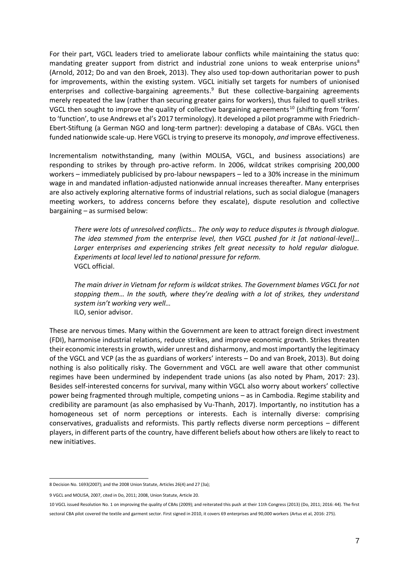For their part, VGCL leaders tried to ameliorate labour conflicts while maintaining the status quo: mandating greater support from district and industrial zone unions to weak enterprise unions<sup>8</sup> (Arnold, 2012; Do and van den Broek, 2013). They also used top-down authoritarian power to push for improvements, within the existing system. VGCL initially set targets for numbers of unionised enterprises and collective-bargaining agreements.<sup>9</sup> But these collective-bargaining agreements merely repeated the law (rather than securing greater gains for workers), thus failed to quell strikes. VGCL then sought to improve the quality of collective bargaining agreements<sup>10</sup> (shifting from 'form' to 'function', to use Andrews et al's 2017 terminology). It developed a pilot programme with Friedrich-Ebert-Stiftung (a German NGO and long-term partner): developing a database of CBAs. VGCL then funded nationwide scale-up. Here VGCL is trying to preserve its monopoly, *and* improve effectiveness.

Incrementalism notwithstanding, many (within MOLISA, VGCL, and business associations) are responding to strikes by through pro-active reform. In 2006, wildcat strikes comprising 200,000 workers – immediately publicised by pro-labour newspapers – led to a 30% increase in the minimum wage in and mandated inflation-adjusted nationwide annual increases thereafter. Many enterprises are also actively exploring alternative forms of industrial relations, such as social dialogue (managers meeting workers, to address concerns before they escalate), dispute resolution and collective bargaining – as surmised below:

*There were lots of unresolved conflicts… The only way to reduce disputes is through dialogue. The idea stemmed from the enterprise level, then VGCL pushed for it [at national-level]… Larger enterprises and experiencing strikes felt great necessity to hold regular dialogue. Experiments at local level led to national pressure for reform.* VGCL official.

*The main driver in Vietnam for reform is wildcat strikes. The Government blames VGCL for not stopping them… In the south, where they're dealing with a lot of strikes, they understand system isn't working very well…* ILO, senior advisor.

These are nervous times. Many within the Government are keen to attract foreign direct investment (FDI), harmonise industrial relations, reduce strikes, and improve economic growth. Strikes threaten their economic interests in growth, wider unrest and disharmony, and most importantly the legitimacy of the VGCL and VCP (as the as guardians of workers' interests – Do and van Broek, 2013). But doing nothing is also politically risky. The Government and VGCL are well aware that other communist regimes have been undermined by independent trade unions (as also noted by Pham, 2017: 23). Besides self-interested concerns for survival, many within VGCL also worry about workers' collective power being fragmented through multiple, competing unions – as in Cambodia. Regime stability and credibility are paramount (as also emphasised by Vu-Thanh, 2017). Importantly, no institution has a homogeneous set of norm perceptions or interests. Each is internally diverse: comprising conservatives, gradualists and reformists. This partly reflects diverse norm perceptions – different players, in different parts of the country, have different beliefs about how others are likely to react to new initiatives.

<sup>8</sup> Decision No. 1693(2007); and the 2008 Union Statute, Articles 26(4) and 27 (3a);

<sup>9</sup> VGCL and MOLISA, 2007, cited in Do, 2011; 2008, Union Statute, Article 20.

<sup>10</sup> VGCL issued Resolution No. 1 on improving the quality of CBAs (2009); and reiterated this push at their 11th Congress (2013) (Do, 2011; 2016: 44). The first sectoral CBA pilot covered the textile and garment sector. First signed in 2010, it covers 69 enterprises and 90,000 workers (Artus et al, 2016: 275).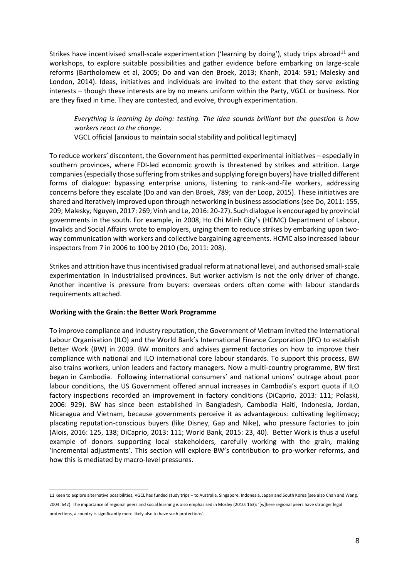Strikes have incentivised small-scale experimentation ('learning by doing'), study trips abroad<sup>11</sup> and workshops, to explore suitable possibilities and gather evidence before embarking on large-scale reforms (Bartholomew et al, 2005; Do and van den Broek, 2013; Khanh, 2014: 591; Malesky and London, 2014). Ideas, initiatives and individuals are invited to the extent that they serve existing interests – though these interests are by no means uniform within the Party, VGCL or business. Nor are they fixed in time. They are contested, and evolve, through experimentation.

*Everything is learning by doing: testing. The idea sounds brilliant but the question is how workers react to the change.*

VGCL official [anxious to maintain social stability and political legitimacy]

To reduce workers' discontent, the Government has permitted experimental initiatives – especially in southern provinces, where FDI-led economic growth is threatened by strikes and attrition. Large companies (especially those suffering from strikes and supplying foreign buyers) have trialled different forms of dialogue: bypassing enterprise unions, listening to rank-and-file workers, addressing concerns before they escalate (Do and van den Broek, 789; van der Loop, 2015). These initiatives are shared and iteratively improved upon through networking in business associations (see Do, 2011: 155, 209; Malesky*;* Nguyen, 2017: 269; Vinh and Le, 2016: 20-27). Such dialogue is encouraged by provincial governments in the south. For example, in 2008, Ho Chi Minh City's (HCMC) Department of Labour, Invalids and Social Affairs wrote to employers, urging them to reduce strikes by embarking upon twoway communication with workers and collective bargaining agreements. HCMC also increased labour inspectors from 7 in 2006 to 100 by 2010 (Do, 2011: 208).

Strikes and attrition have thus incentivised gradual reform at national level, and authorised small-scale experimentation in industrialised provinces. But worker activism is not the only driver of change. Another incentive is pressure from buyers: overseas orders often come with labour standards requirements attached.

## **Working with the Grain: the Better Work Programme**

To improve compliance and industry reputation, the Government of Vietnam invited the International Labour Organisation (ILO) and the World Bank's International Finance Corporation (IFC) to establish Better Work (BW) in 2009. BW monitors and advises garment factories on how to improve their compliance with national and ILO international core labour standards. To support this process, BW also trains workers, union leaders and factory managers. Now a multi-country programme, BW first began in Cambodia. Following international consumers' and national unions' outrage about poor labour conditions, the US Government offered annual increases in Cambodia's export quota if ILO factory inspections recorded an improvement in factory conditions (DiCaprio, 2013: 111; Polaski, 2006: 929). BW has since been established in Bangladesh, Cambodia Haiti, Indonesia, Jordan, Nicaragua and Vietnam, because governments perceive it as advantageous: cultivating legitimacy; placating reputation-conscious buyers (like Disney, Gap and Nike), who pressure factories to join (Alois, 2016: 125, 138; DiCaprio, 2013: 111; World Bank, 2015: 23, 40). Better Work is thus a useful example of donors supporting local stakeholders, carefully working with the grain, making 'incremental adjustments'. This section will explore BW's contribution to pro-worker reforms, and how this is mediated by macro-level pressures.

 $\overline{a}$ 11 Keen to explore alternative possibilities, VGCL has funded study trips – to Australia, Singapore, Indonesia, Japan and South Korea (see also Chan and Wang, 2004: 642). The importance of regional peers and social learning is also emphasised in Mosley (2010: 163): '[w]here regional peers have stronger legal

protections, a country is significantly more likely also to have such protections'.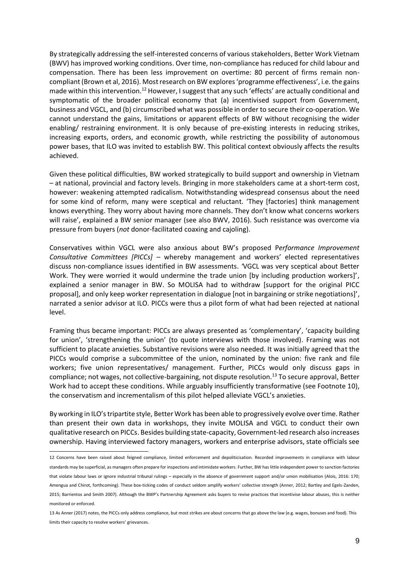By strategically addressing the self-interested concerns of various stakeholders, Better Work Vietnam (BWV) has improved working conditions. Over time, non-compliance has reduced for child labour and compensation. There has been less improvement on overtime: 80 percent of firms remain noncompliant (Brown et al, 2016). Most research on BW explores 'programme effectiveness', i.e. the gains made within this intervention.<sup>12</sup> However, I suggest that any such 'effects' are actually conditional and symptomatic of the broader political economy that (a) incentivised support from Government, business and VGCL, and (b) circumscribed what was possible in order to secure their co-operation. We cannot understand the gains, limitations or apparent effects of BW without recognising the wider enabling/ restraining environment. It is only because of pre-existing interests in reducing strikes, increasing exports, orders, and economic growth, while restricting the possibility of autonomous power bases, that ILO was invited to establish BW. This political context obviously affects the results achieved.

Given these political difficulties, BW worked strategically to build support and ownership in Vietnam – at national, provincial and factory levels. Bringing in more stakeholders came at a short-term cost, however: weakening attempted radicalism. Notwithstanding widespread consensus about the need for some kind of reform, many were sceptical and reluctant. 'They [factories] think management knows everything. They worry about having more channels. They don't know what concerns workers will raise', explained a BW senior manager (see also BWV, 2016). Such resistance was overcome via pressure from buyers (*not* donor-facilitated coaxing and cajoling).

Conservatives within VGCL were also anxious about BW's proposed P*erformance Improvement Consultative Committees [PICCs] –* whereby management and workers' elected representatives discuss non-compliance issues identified in BW assessments. *'*VGCL was very sceptical about Better Work. They were worried it would undermine the trade union [by including production workers]', explained a senior manager in BW. So MOLISA had to withdraw [support for the original PICC proposal], and only keep worker representation in dialogue [not in bargaining or strike negotiations]', narrated a senior advisor at ILO. PICCs were thus a pilot form of what had been rejected at national level.

Framing thus became important: PICCs are always presented as 'complementary', 'capacity building for union', 'strengthening the union' (to quote interviews with those involved). Framing was not sufficient to placate anxieties. Substantive revisions were also needed. It was initially agreed that the PICCs would comprise a subcommittee of the union, nominated by the union: five rank and file workers; five union representatives/ management. Further, PICCs would only discuss gaps in compliance; not wages, not collective-bargaining, not dispute resolution.<sup>13</sup> To secure approval, Better Work had to accept these conditions. While arguably insufficiently transformative (see Footnote 10), the conservatism and incrementalism of this pilot helped alleviate VGCL's anxieties.

By working in ILO's tripartite style, Better Work has been able to progressively evolve over time. Rather than present their own data in workshops, they invite MOLISA and VGCL to conduct their own qualitative research on PICCs. Besides building state-capacity, Government-led research also increases ownership. Having interviewed factory managers, workers and enterprise advisors, state officials see

<sup>12</sup> Concerns have been raised about feigned compliance, limited enforcement and depoliticisation. Recorded improvements in compliance with labour standards may be superficial, as managers often prepare for inspections and intimidate workers. Further, BW has little independent power to sanction factories that violate labour laws or ignore industrial tribunal rulings – especially in the absence of government support and/or union mobilisation (Alois, 2016: 170; Amengua and Chirot, forthcoming). These box-ticking codes of conduct seldom amplify workers' collective strength (Anner, 2012; Bartley and Egels-Zanden, 2015; Barrientos and Smith 2007). Although the BWP's Partnership Agreement asks buyers to revise practices that incentivise labour abuses, this is neither monitored or enforced.

<sup>13</sup> As Anner (2017) notes, the PICCs only address compliance, but most strikes are about concerns that go above the law (e.g. wages, bonuses and food). This limits their capacity to resolve workers' grievances.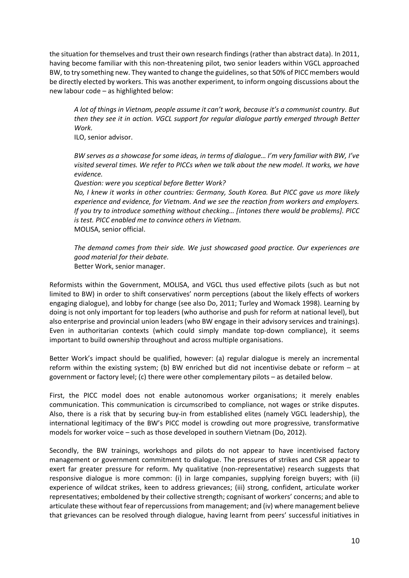the situation for themselves and trust their own research findings (rather than abstract data). In 2011, having become familiar with this non-threatening pilot, two senior leaders within VGCL approached BW, to try something new. They wanted to change the guidelines, so that 50% of PICC members would be directly elected by workers. This was another experiment, to inform ongoing discussions about the new labour code – as highlighted below:

*A lot of things in Vietnam, people assume it can't work, because it's a communist country. But then they see it in action. VGCL support for regular dialogue partly emerged through Better Work.* 

ILO, senior advisor.

*BW serves as a showcase for some ideas, in terms of dialogue… I'm very familiar with BW, I've visited several times. We refer to PICCs when we talk about the new model. It works, we have evidence.*

*Question: were you sceptical before Better Work?* 

*No, I knew it works in other countries: Germany, South Korea. But PICC gave us more likely experience and evidence, for Vietnam. And we see the reaction from workers and employers. If you try to introduce something without checking… [intones there would be problems]. PICC is test. PICC enabled me to convince others in Vietnam.* MOLISA, senior official.

*The demand comes from their side. We just showcased good practice. Our experiences are good material for their debate.* Better Work, senior manager.

Reformists within the Government, MOLISA, and VGCL thus used effective pilots (such as but not limited to BW) in order to shift conservatives' norm perceptions (about the likely effects of workers engaging dialogue), and lobby for change (see also Do, 2011; Turley and Womack 1998). Learning by doing is not only important for top leaders (who authorise and push for reform at national level), but also enterprise and provincial union leaders (who BW engage in their advisory services and trainings). Even in authoritarian contexts (which could simply mandate top-down compliance), it seems important to build ownership throughout and across multiple organisations.

Better Work's impact should be qualified, however: (a) regular dialogue is merely an incremental reform within the existing system; (b) BW enriched but did not incentivise debate or reform – at government or factory level; (c) there were other complementary pilots – as detailed below.

First, the PICC model does not enable autonomous worker organisations; it merely enables communication. This communication is circumscribed to compliance, not wages or strike disputes. Also, there is a risk that by securing buy-in from established elites (namely VGCL leadership), the international legitimacy of the BW's PICC model is crowding out more progressive, transformative models for worker voice – such as those developed in southern Vietnam (Do, 2012).

Secondly, the BW trainings, workshops and pilots do not appear to have incentivised factory management or government commitment to dialogue. The pressures of strikes and CSR appear to exert far greater pressure for reform. My qualitative (non-representative) research suggests that responsive dialogue is more common: (i) in large companies, supplying foreign buyers; with (ii) experience of wildcat strikes, keen to address grievances; (iii) strong, confident, articulate worker representatives; emboldened by their collective strength; cognisant of workers' concerns; and able to articulate these without fear of repercussions from management; and (iv) where management believe that grievances can be resolved through dialogue, having learnt from peers' successful initiatives in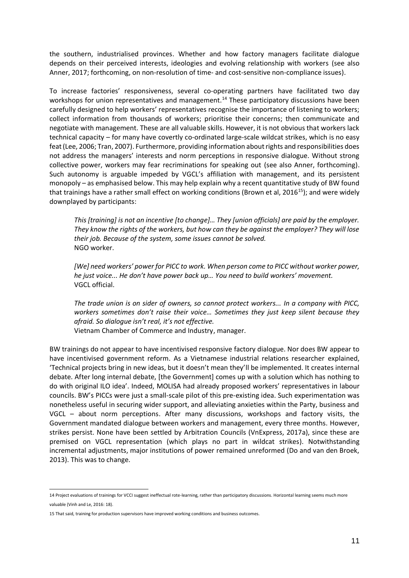the southern, industrialised provinces. Whether and how factory managers facilitate dialogue depends on their perceived interests, ideologies and evolving relationship with workers (see also Anner, 2017; forthcoming, on non-resolution of time- and cost-sensitive non-compliance issues).

To increase factories' responsiveness, several co-operating partners have facilitated two day workshops for union representatives and management.<sup>14</sup> These participatory discussions have been carefully designed to help workers' representatives recognise the importance of listening to workers; collect information from thousands of workers; prioritise their concerns; then communicate and negotiate with management. These are all valuable skills. However, it is not obvious that workers lack technical capacity – for many have covertly co-ordinated large-scale wildcat strikes, which is no easy feat(Lee, 2006; Tran, 2007). Furthermore, providing information about rights and responsibilities does not address the managers' interests and norm perceptions in responsive dialogue. Without strong collective power, workers may fear recriminations for speaking out (see also Anner, forthcoming). Such autonomy is arguable impeded by VGCL's affiliation with management, and its persistent monopoly – as emphasised below. This may help explain why a recent quantitative study of BW found that trainings have a rather small effect on working conditions (Brown et al,  $2016^{15}$ ); and were widely downplayed by participants:

*This [training] is not an incentive [to change]… They [union officials] are paid by the employer. They know the rights of the workers, but how can they be against the employer? They will lose their job. Because of the system, some issues cannot be solved.* NGO worker.

*[We] need workers' power for PICC to work. When person come to PICC without worker power, he just voice... He don't have power back up… You need to build workers' movement.* VGCL official.

*The trade union is on sider of owners, so cannot protect workers... In a company with PICC, workers sometimes don't raise their voice… Sometimes they just keep silent because they afraid. So dialogue isn't real, it's not effective.*

Vietnam Chamber of Commerce and Industry, manager.

BW trainings do not appear to have incentivised responsive factory dialogue. Nor does BW appear to have incentivised government reform. As a Vietnamese industrial relations researcher explained, 'Technical projects bring in new ideas, but it doesn't mean they'll be implemented. It creates internal debate. After long internal debate, [the Government] comes up with a solution which has nothing to do with original ILO idea'. Indeed, MOLISA had already proposed workers' representatives in labour councils. BW's PICCs were just a small-scale pilot of this pre-existing idea. Such experimentation was nonetheless useful in securing wider support, and alleviating anxieties within the Party, business and VGCL – about norm perceptions. After many discussions, workshops and factory visits, the Government mandated dialogue between workers and management, every three months. However, strikes persist. None have been settled by Arbitration Councils (VnExpress, 2017a), since these are premised on VGCL representation (which plays no part in wildcat strikes). Notwithstanding incremental adjustments, major institutions of power remained unreformed (Do and van den Broek, 2013). This was to change.

 $\overline{a}$ 

<sup>14</sup> Project evaluations of trainings for VCCI suggest ineffectual rote-learning, rather than participatory discussions. Horizontal learning seems much more valuable (Vinh and Le, 2016: 18).

<sup>15</sup> That said, training for production supervisors have improved working conditions and business outcomes.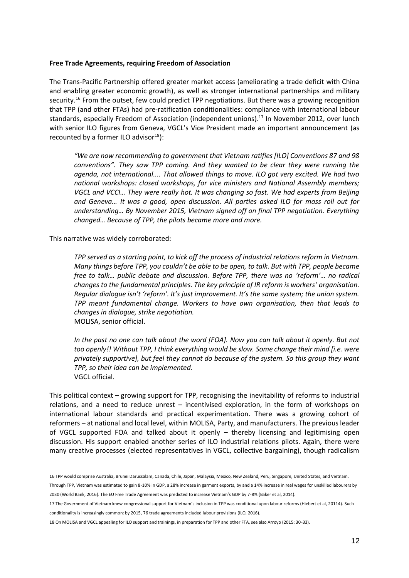#### **Free Trade Agreements, requiring Freedom of Association**

The Trans-Pacific Partnership offered greater market access (ameliorating a trade deficit with China and enabling greater economic growth), as well as stronger international partnerships and military security.<sup>16</sup> From the outset, few could predict TPP negotiations. But there was a growing recognition that TPP (and other FTAs) had pre-ratification conditionalities: compliance with international labour standards, especially Freedom of Association (independent unions). <sup>17</sup> In November 2012, over lunch with senior ILO figures from Geneva, VGCL's Vice President made an important announcement (as recounted by a former ILO advisor $^{18}$ ):

*"We are now recommending to government that Vietnam ratifies [ILO] Conventions 87 and 98 conventions". They saw TPP coming. And they wanted to be clear they were running the agenda, not international.... That allowed things to move. ILO got very excited. We had two national workshops: closed workshops, for vice ministers and National Assembly members; VGCL and VCCI… They were really hot. It was changing so fast. We had experts from Beijing and Geneva… It was a good, open discussion. All parties asked ILO for mass roll out for understanding… By November 2015, Vietnam signed off on final TPP negotiation. Everything changed… Because of TPP, the pilots became more and more.*

This narrative was widely corroborated:

*TPP served as a starting point, to kick off the process of industrial relations reform in Vietnam. Many things before TPP, you couldn't be able to be open, to talk. But with TPP, people became free to talk… public debate and discussion. Before TPP, there was no 'reform'… no radical changes to the fundamental principles. The key principle of IR reform is workers' organisation. Regular dialogue isn't 'reform'. It's just improvement. It's the same system; the union system. TPP meant fundamental change. Workers to have own organisation, then that leads to changes in dialogue, strike negotiation.*  MOLISA, senior official.

*In the past no one can talk about the word [FOA]. Now you can talk about it openly. But not too openly!! Without TPP, I think everything would be slow. Some change their mind [i.e. were privately supportive], but feel they cannot do because of the system. So this group they want TPP, so their idea can be implemented.* VGCL official.

This political context – growing support for TPP, recognising the inevitability of reforms to industrial relations, and a need to reduce unrest – incentivised exploration, in the form of workshops on international labour standards and practical experimentation. There was a growing cohort of reformers – at national and local level, within MOLISA, Party, and manufacturers. The previous leader of VGCL supported FOA and talked about it openly – thereby licensing and legitimising open discussion. His support enabled another series of ILO industrial relations pilots. Again, there were many creative processes (elected representatives in VGCL, collective bargaining), though radicalism

<sup>-</sup>16 TPP would comprise Australia, Brunei Darussalam, Canada, Chile, Japan, Malaysia, Mexico, New Zealand, Peru, Singapore, United States, and Vietnam.

Through TPP, Vietnam was estimated to gain 8-10% in GDP, a 28% increase in garment exports, by and a 14% increase in real wages for unskilled labourers by 2030 (World Bank, 2016). The EU Free Trade Agreement was predicted to increase Vietnam's GDP by 7-8% (Baker et al, 2014).

<sup>17</sup> The Government of Vietnam knew congressional support for Vietnam's inclusion in TPP was conditional upon labour reforms (Hiebert et al, 20114). Such conditionality is increasingly common: by 2015, 76 trade agreements included labour provisions (ILO, 2016).

<sup>18</sup> On MOLISA and VGCL appealing for ILO support and trainings, in preparation for TPP and other FTA, see also Arroyo (2015: 30-33).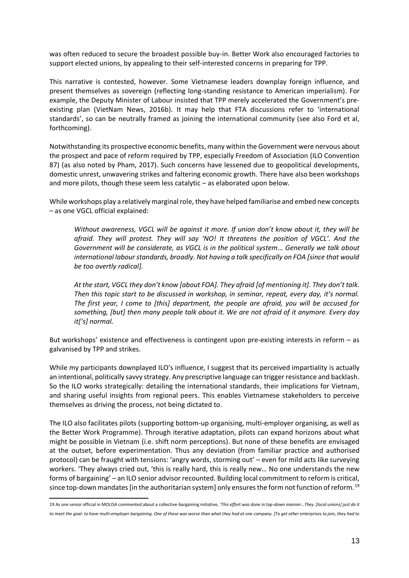was often reduced to secure the broadest possible buy-in. Better Work also encouraged factories to support elected unions, by appealing to their self-interested concerns in preparing for TPP.

This narrative is contested, however. Some Vietnamese leaders downplay foreign influence, and present themselves as sovereign (reflecting long-standing resistance to American imperialism). For example, the Deputy Minister of Labour insisted that TPP merely accelerated the Government's preexisting plan (VietNam News, 2016b). It may help that FTA discussions refer to 'international standards', so can be neutrally framed as joining the international community (see also Ford et al, forthcoming).

Notwithstanding its prospective economic benefits, many within the Government were nervous about the prospect and pace of reform required by TPP, especially Freedom of Association (ILO Convention 87) (as also noted by Pham, 2017). Such concerns have lessened due to geopolitical developments, domestic unrest, unwavering strikes and faltering economic growth. There have also been workshops and more pilots, though these seem less catalytic – as elaborated upon below.

While workshops play a relatively marginal role, they have helped familiarise and embed new concepts – as one VGCL official explained:

*Without awareness, VGCL will be against it more. If union don't know about it, they will be afraid. They will protest. They will say 'NO! It threatens the position of VGCL'. And the Government will be considerate, as VGCL is in the political system… Generally we talk about international labour standards, broadly. Not having a talk specifically on FOA [since that would be too overtly radical].*

*At the start, VGCL they don't know [about FOA]. They afraid [of mentioning it]. They don't talk. Then this topic start to be discussed in workshop, in seminar, repeat, every day, it's normal. The first year, I come to [this] department, the people are afraid, you will be accused for something, [but] then many people talk about it. We are not afraid of it anymore. Every day it['s] normal.*

But workshops' existence and effectiveness is contingent upon pre-existing interests in reform – as galvanised by TPP and strikes.

While my participants downplayed ILO's influence, I suggest that its perceived impartiality is actually an intentional, politically savvy strategy. Any prescriptive language can trigger resistance and backlash. So the ILO works strategically: detailing the international standards, their implications for Vietnam, and sharing useful insights from regional peers. This enables Vietnamese stakeholders to perceive themselves as driving the process, not being dictated to.

The ILO also facilitates pilots (supporting bottom-up organising, multi-employer organising, as well as the Better Work Programme). Through iterative adaptation, pilots can expand horizons about what might be possible in Vietnam (i.e. shift norm perceptions). But none of these benefits are envisaged at the outset, before experimentation. Thus any deviation (from familiar practice and authorised protocol) can be fraught with tensions: 'angry words, storming out' – even for mild acts like surveying workers. 'They always cried out, 'this is really hard, this is really new… No one understands the new forms of bargaining' – an ILO senior advisor recounted. Building local commitment to reform is critical, since top-down mandates [in the authoritarian system] only ensures the form not function of reform.<sup>19</sup>

<sup>19</sup> As one senior official in MOLISA commented about a collective-bargaining initiative, '*This effort was done in top-down manner…They [local unions] just do it to meet the goal: to have multi-employer bargaining. One of these was worse than what they had at one company. [To get other enterprises to join, they had to*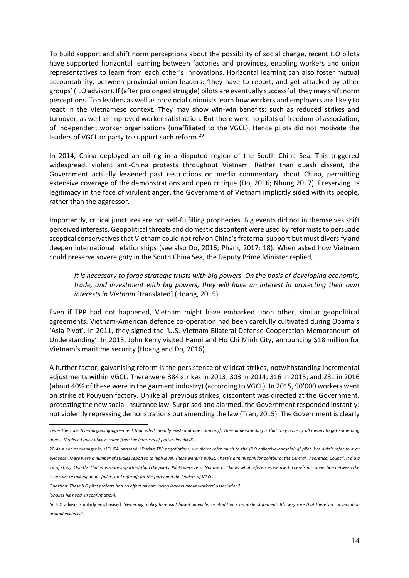To build support and shift norm perceptions about the possibility of social change, recent ILO pilots have supported horizontal learning between factories and provinces, enabling workers and union representatives to learn from each other's innovations. Horizontal learning can also foster mutual accountability, between provincial union leaders: 'they have to report, and get attacked by other groups' (ILO advisor). If (after prolonged struggle) pilots are eventually successful, they may shift norm perceptions. Top leaders as well as provincial unionists learn how workers and employers are likely to react in the Vietnamese context. They may show win-win benefits: such as reduced strikes and turnover, as well as improved worker satisfaction. But there were no pilots of freedom of association, of independent worker organisations (unaffiliated to the VGCL). Hence pilots did not motivate the leaders of VGCL or party to support such reform.<sup>20</sup>

In 2014, China deployed an oil rig in a disputed region of the South China Sea. This triggered widespread, violent anti-China protests throughout Vietnam. Rather than quash dissent, the Government actually lessened past restrictions on media commentary about China, permitting extensive coverage of the demonstrations and open critique (Do, 2016; Nhung 2017). Preserving its legitimacy in the face of virulent anger, the Government of Vietnam implicitly sided with its people, rather than the aggressor.

Importantly, critical junctures are not self-fulfilling prophecies. Big events did not in themselves shift perceived interests. Geopolitical threats and domestic discontent were used by reformists to persuade sceptical conservatives that Vietnam could not rely on China's fraternal support but must diversify and deepen international relationships (see also Do, 2016; Pham, 2017: 18). When asked how Vietnam could preserve sovereignty in the South China Sea, the Deputy Prime Minister replied,

*It is necessary to forge strategic trusts with big powers. On the basis of developing economic, trade, and investment with big powers, they will have an interest in protecting their own interests in Vietnam* [translated] (Hoang, 2015).

Even if TPP had not happened, Vietnam might have embarked upon other, similar geopolitical agreements. Vietnam-American defence co-operation had been carefully cultivated during Obama's 'Asia Pivot'. In 2011, they signed the 'U.S.-Vietnam Bilateral Defense Cooperation Memorandum of Understanding'. In 2013, John Kerry visited Hanoi and Ho Chi Minh City, announcing \$18 million for Vietnam's maritime security (Hoang and Do, 2016).

A further factor, galvanising reform is the persistence of wildcat strikes, notwithstanding incremental adjustments within VGCL. There were 384 strikes in 2013; 303 in 2014; 316 in 2015; and 281 in 2016 (about 40% of these were in the garment industry) (according to VGCL). In 2015, 90'000 workers went on strike at Pouyuen factory. Unlike all previous strikes, discontent was directed at the Government, protesting the new social insurance law. Surprised and alarmed, the Government responded instantly: not violently repressing demonstrations but amending the law (Tran, 2015). The Government is clearly

*lower the collective-bargaining-agreement than what already existed at one company]. Their understanding is that they have by all means to get something done… [Projects] must always come from the interests of parties involved'.*

<sup>20</sup> As a senior manager in MOLISA narrated, '*During TPP negotiations, we didn't refer much to the [ILO collective-bargaining] pilot. We didn't refer to it as evidence. There were a number of studies reported to high level. These weren't public. There's a think tank for politburo: the Central Theoretical Council. It did a lot of study. Quietly. That was more important than the pilots. Pilots were zero. Not used… I know what references we used. There's no connection between the issues we're talking about [pilots and reform]: for the party and the leaders of VGCL.* 

*Question: These ILO pilot projects had no effect on convincing leaders about workers' association?* 

*<sup>[</sup>Shakes his head, in confirmation].*

An ILO advisor similarly emphasised, '*Generally, policy here isn't based on evidence. And that's an understatement. It's very rare that there's a conversation around evidence'.*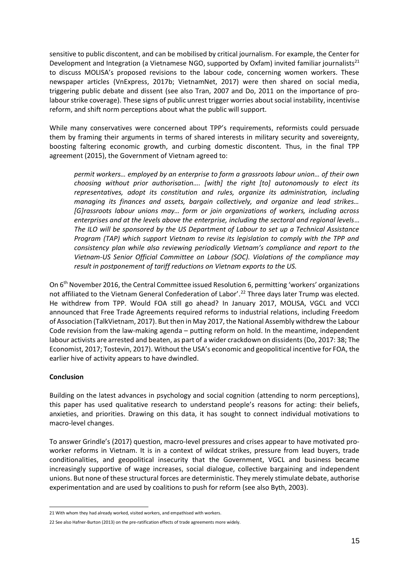sensitive to public discontent, and can be mobilised by critical journalism. For example, the Center for Development and Integration (a Vietnamese NGO, supported by Oxfam) invited familiar journalists<sup>21</sup> to discuss MOLISA's proposed revisions to the labour code, concerning women workers. These newspaper articles (VnExpress, 2017b; VietnamNet, 2017) were then shared on social media, triggering public debate and dissent (see also Tran, 2007 and Do, 2011 on the importance of prolabour strike coverage). These signs of public unrest trigger worries about social instability, incentivise reform, and shift norm perceptions about what the public will support.

While many conservatives were concerned about TPP's requirements, reformists could persuade them by framing their arguments in terms of shared interests in military security and sovereignty, boosting faltering economic growth, and curbing domestic discontent. Thus, in the final TPP agreement (2015), the Government of Vietnam agreed to:

*permit workers… employed by an enterprise to form a grassroots labour union… of their own choosing without prior authorisation…. [with] the right [to] autonomously to elect its representatives, adopt its constitution and rules, organize its administration, including managing its finances and assets, bargain collectively, and organize and lead strikes… [G]rassroots labour unions may… form or join organizations of workers, including across enterprises and at the levels above the enterprise, including the sectoral and regional levels*… *The ILO will be sponsored by the US Department of Labour to set up a Technical Assistance Program (TAP) which support Vietnam to revise its legislation to comply with the TPP and consistency plan while also reviewing periodically Vietnam's compliance and report to the Vietnam-US Senior Official Committee on Labour (SOC). Violations of the compliance may result in postponement of tariff reductions on Vietnam exports to the US.*

On 6th November 2016, the Central Committee issued Resolution 6, permitting 'workers' organizations not affiliated to the Vietnam General Confederation of Labor'. <sup>22</sup> Three days later Trump was elected. He withdrew from TPP. Would FOA still go ahead? In January 2017, MOLISA, VGCL and VCCI announced that Free Trade Agreements required reforms to industrial relations, including Freedom of Association (TalkVietnam, 2017). But then in May 2017, the National Assembly withdrew the Labour Code revision from the law-making agenda – putting reform on hold. In the meantime, independent labour activists are arrested and beaten, as part of a wider crackdown on dissidents (Do, 2017: 38; The Economist, 2017; Tostevin, 2017). Without the USA's economic and geopolitical incentive for FOA, the earlier hive of activity appears to have dwindled.

## **Conclusion**

Building on the latest advances in psychology and social cognition (attending to norm perceptions), this paper has used qualitative research to understand people's reasons for acting: their beliefs, anxieties, and priorities. Drawing on this data, it has sought to connect individual motivations to macro-level changes.

To answer Grindle's (2017) question, macro-level pressures and crises appear to have motivated proworker reforms in Vietnam. It is in a context of wildcat strikes, pressure from lead buyers, trade conditionalities, and geopolitical insecurity that the Government, VGCL and business became increasingly supportive of wage increases, social dialogue, collective bargaining and independent unions. But none of these structural forces are deterministic. They merely stimulate debate, authorise experimentation and are used by coalitions to push for reform (see also Byth, 2003).

<sup>-</sup>21 With whom they had already worked, visited workers, and empathised with workers.

<sup>22</sup> See also Hafner-Burton (2013) on the pre-ratification effects of trade agreements more widely.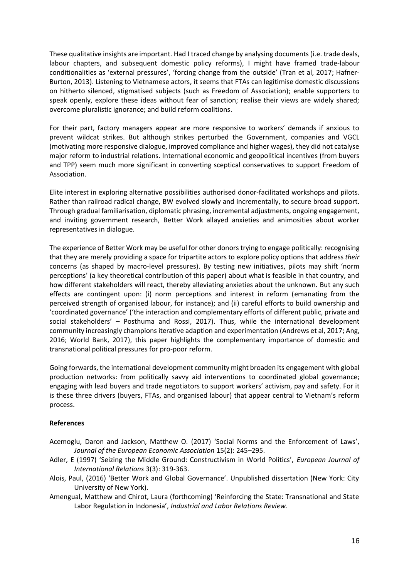These qualitative insights are important. Had I traced change by analysing documents (i.e. trade deals, labour chapters, and subsequent domestic policy reforms), I might have framed trade-labour conditionalities as 'external pressures', 'forcing change from the outside' (Tran et al, 2017; Hafner-Burton, 2013). Listening to Vietnamese actors, it seems that FTAs can legitimise domestic discussions on hitherto silenced, stigmatised subjects (such as Freedom of Association); enable supporters to speak openly, explore these ideas without fear of sanction; realise their views are widely shared; overcome pluralistic ignorance; and build reform coalitions.

For their part, factory managers appear are more responsive to workers' demands if anxious to prevent wildcat strikes. But although strikes perturbed the Government, companies and VGCL (motivating more responsive dialogue, improved compliance and higher wages), they did not catalyse major reform to industrial relations. International economic and geopolitical incentives (from buyers and TPP) seem much more significant in converting sceptical conservatives to support Freedom of Association.

Elite interest in exploring alternative possibilities authorised donor-facilitated workshops and pilots. Rather than railroad radical change, BW evolved slowly and incrementally, to secure broad support. Through gradual familiarisation, diplomatic phrasing, incremental adjustments, ongoing engagement, and inviting government research, Better Work allayed anxieties and animosities about worker representatives in dialogue.

The experience of Better Work may be useful for other donors trying to engage politically: recognising that they are merely providing a space for tripartite actors to explore policy options that address *their*  concerns (as shaped by macro-level pressures). By testing new initiatives, pilots may shift 'norm perceptions' (a key theoretical contribution of this paper) about what is feasible in that country, and how different stakeholders will react, thereby alleviating anxieties about the unknown. But any such effects are contingent upon: (i) norm perceptions and interest in reform (emanating from the perceived strength of organised labour, for instance); and (ii) careful efforts to build ownership and 'coordinated governance' ('the interaction and complementary efforts of different public, private and social stakeholders' – Posthuma and Rossi, 2017). Thus, while the international development community increasingly champions iterative adaption and experimentation (Andrews et al, 2017; Ang, 2016; World Bank, 2017), this paper highlights the complementary importance of domestic and transnational political pressures for pro-poor reform.

Going forwards, the international development community might broaden its engagement with global production networks: from politically savvy aid interventions to coordinated global governance; engaging with lead buyers and trade negotiators to support workers' activism, pay and safety. For it is these three drivers (buyers, FTAs, and organised labour) that appear central to Vietnam's reform process.

## **References**

- Acemoglu, Daron and Jackson, Matthew O. (2017) 'Social Norms and the Enforcement of Laws', *Journal of the European Economic Association* 15(2): 245–295.
- Adler, E (1997) 'Seizing the Middle Ground: Constructivism in World Politics', *European Journal of International Relations* 3(3): 319-363.
- Alois, Paul, (2016) 'Better Work and Global Governance'. Unpublished dissertation (New York: City University of New York).
- Amengual, Matthew and Chirot, Laura (forthcoming) 'Reinforcing the State: Transnational and State Labor Regulation in Indonesia', *Industrial and Labor Relations Review.*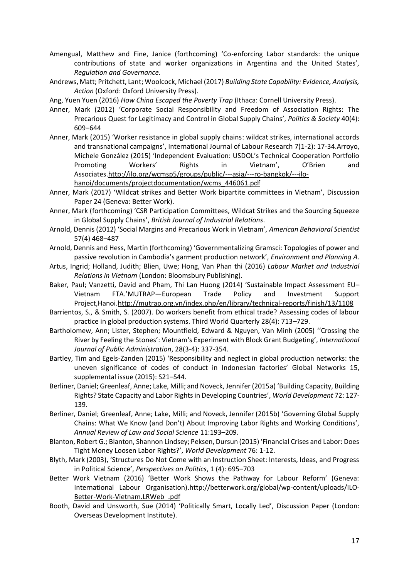- Amengual, Matthew and Fine, Janice (forthcoming) 'Co-enforcing Labor standards: the unique contributions of state and worker organizations in Argentina and the United States', *Regulation and Governance.*
- Andrews, Matt; Pritchett, Lant; Woolcock, Michael (2017) *Building State Capability: Evidence, Analysis,*  Action (Oxford: Oxford University Press).
- Ang, Yuen Yuen (2016) *How China Escaped the Poverty Trap* (Ithaca: Cornell University Press).
- Anner, Mark (2012) 'Corporate Social Responsibility and Freedom of Association Rights: The Precarious Quest for Legitimacy and Control in Global Supply Chains', *Politics & Society* 40(4): 609–644
- Anner, Mark (2015) 'Worker resistance in global supply chains: wildcat strikes, international accords and transnational campaigns', International Journal of Labour Research 7(1-2): 17-34.Arroyo, Michele González (2015) 'Independent Evaluation: USDOL's Technical Cooperation Portfolio Promoting Workers' Rights in Vietnam', O'Brien and Associates[.http://ilo.org/wcmsp5/groups/public/---asia/---ro-bangkok/---ilo](http://ilo.org/wcmsp5/groups/public/---asia/---ro-bangkok/---ilo-hanoi/documents/projectdocumentation/wcms_446061.pdf)[hanoi/documents/projectdocumentation/wcms\\_446061.pdf](http://ilo.org/wcmsp5/groups/public/---asia/---ro-bangkok/---ilo-hanoi/documents/projectdocumentation/wcms_446061.pdf)
- Anner, Mark (2017) 'Wildcat strikes and Better Work bipartite committees in Vietnam', Discussion Paper 24 (Geneva: Better Work).
- Anner, Mark (forthcoming) 'CSR Participation Committees, Wildcat Strikes and the Sourcing Squeeze in Global Supply Chains', *British Journal of Industrial Relations*.
- Arnold, Dennis (2012) 'Social Margins and Precarious Work in Vietnam', *American Behavioral Scientist*  57(4) 468–487
- Arnold, Dennis and Hess, Martin (forthcoming) 'Governmentalizing Gramsci: Topologies of power and passive revolution in Cambodia's garment production network', *Environment and Planning A*.
- Artus, Ingrid; Holland, Judith; Blien, Uwe; Hong, Van Phan thi (2016) *Labour Market and Industrial Relations in Vietnam* (London: Bloomsbury Publishing).
- Baker, Paul; Vanzetti, David and Pham, Thi Lan Huong (2014) 'Sustainable Impact Assessment EU– Vietnam FTA.'MUTRAP—European Trade Policy and Investment Support Project,Hanoi[.http://mutrap.org.vn/index.php/en/library/technical-reports/finish/13/1108](http://mutrap.org.vn/index.php/en/library/technical-reports/finish/13/1108)
- Barrientos, S., & Smith, S. (2007). Do workers benefit from ethical trade? Assessing codes of labour practice in global production systems. Third World Quarterly 28(4): 713–729.
- Bartholomew, Ann; Lister, Stephen; Mountfield, Edward & Nguyen, Van Minh (2005) ''Crossing the River by Feeling the Stones': Vietnam's Experiment with Block Grant Budgeting', *International Journal of Public Administration*, 28(3-4): 337-354.
- Bartley, Tim and Egels-Zanden (2015) 'Responsibility and neglect in global production networks: the uneven significance of codes of conduct in Indonesian factories' Global Networks 15, supplemental issue (2015): S21–S44.
- Berliner, Daniel; Greenleaf, Anne; Lake, Milli; and Noveck, Jennifer (2015a) 'Building Capacity, Building Rights? State Capacity and Labor Rights in Developing Countries', *World Development* 72: 127- 139.
- Berliner, Daniel; Greenleaf, Anne; Lake, Milli; and Noveck, Jennifer (2015b) 'Governing Global Supply Chains: What We Know (and Don't) About Improving Labor Rights and Working Conditions', *Annual Review of Law and Social Science* 11:193–209.
- Blanton, Robert G.; Blanton, Shannon Lindsey; Peksen, Dursun (2015) 'Financial Crises and Labor: Does Tight Money Loosen Labor Rights?', *World Development* 76: 1-12.
- Blyth, Mark (2003), 'Structures Do Not Come with an Instruction Sheet: Interests, Ideas, and Progress in Political Science', *Perspectives on Politics*, 1 (4): 695–703
- Better Work Vietnam (2016) 'Better Work Shows the Pathway for Labour Reform' (Geneva: International Labour Organisation)[.http://betterwork.org/global/wp-content/uploads/ILO-](http://betterwork.org/global/wp-content/uploads/ILO-Better-Work-Vietnam.LRWeb_.pdf)[Better-Work-Vietnam.LRWeb\\_.pdf](http://betterwork.org/global/wp-content/uploads/ILO-Better-Work-Vietnam.LRWeb_.pdf)
- Booth, David and Unsworth, Sue (2014) 'Politically Smart, Locally Led', Discussion Paper (London: Overseas Development Institute).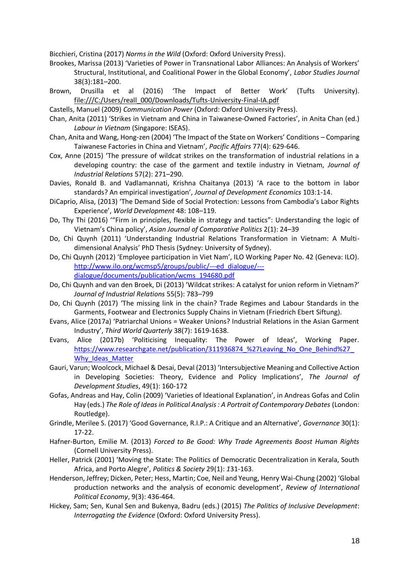Bicchieri, Cristina (2017) *Norms in the Wild* (Oxford: Oxford University Press).

- Brookes, Marissa (2013) 'Varieties of Power in Transnational Labor Alliances: An Analysis of Workers' Structural, Institutional, and Coalitional Power in the Global Economy', *Labor Studies Journal* 38(3):181–200.
- Brown, Drusilla et al (2016) 'The Impact of Better Work' (Tufts University). [file:///C:/Users/reall\\_000/Downloads/Tufts-University-Final-IA.pdf](file:///C:/Users/reall_000/Downloads/Tufts-University-Final-IA.pdf)
- Castells, Manuel (2009) *Communication Power* (Oxford: Oxford University Press).
- Chan, Anita (2011) 'Strikes in Vietnam and China in Taiwanese-Owned Factories', in Anita Chan (ed.) *Labour in Vietnam* (Singapore: ISEAS).
- Chan, Anita and Wang, Hong-zen (2004) 'The Impact of the State on Workers' Conditions Comparing Taiwanese Factories in China and Vietnam', *Pacific Affairs* 77(4): 629-646.
- Cox, Anne (2015) 'The pressure of wildcat strikes on the transformation of industrial relations in a developing country: the case of the garment and textile industry in Vietnam, *Journal of Industrial Relations* 57(2): 271–290.
- Davies, Ronald B. and Vadlamannati, Krishna Chaitanya (2013) 'A race to the bottom in labor standards? An empirical investigation', *Journal of Development Economics* 103:1-14.
- DiCaprio, Alisa, (2013) 'The Demand Side of Social Protection: Lessons from Cambodia's Labor Rights Experience', *World Development* 48: 108–119.
- Do, Thy Thi (2016) '"Firm in principles, flexible in strategy and tactics": Understanding the logic of Vietnam's China policy', *Asian Journal of Comparative Politics* 2(1): 24–39
- Do, Chi Quynh (2011) 'Understanding Industrial Relations Transformation in Vietnam: A Multidimensional Analysis' PhD Thesis (Sydney: University of Sydney).
- Do, Chi Quynh (2012) 'Employee participation in Viet Nam', ILO Working Paper No. 42 (Geneva: ILO). [http://www.ilo.org/wcmsp5/groups/public/---ed\\_dialogue/--](http://www.ilo.org/wcmsp5/groups/public/---ed_dialogue/---dialogue/documents/publication/wcms_194680.pdf) [dialogue/documents/publication/wcms\\_194680.pdf](http://www.ilo.org/wcmsp5/groups/public/---ed_dialogue/---dialogue/documents/publication/wcms_194680.pdf)
- Do, Chi Quynh and van den Broek, Di (2013) 'Wildcat strikes: A catalyst for union reform in Vietnam?' *Journal of Industrial Relations* 55(5): 783–799
- Do, Chi Quynh (2017) 'The missing link in the chain? Trade Regimes and Labour Standards in the Garments, Footwear and Electronics Supply Chains in Vietnam (Friedrich Ebert Siftung).
- Evans, Alice (2017a) 'Patriarchal Unions = Weaker Unions? Industrial Relations in the Asian Garment Industry', *Third World Quarterly* 38(7): 1619-1638.
- Evans, Alice (2017b) 'Politicising Inequality: The Power of Ideas', Working Paper. https://www.researchgate.net/publication/311936874 %27Leaving No One Behind%27 Why Ideas Matter
- Gauri, Varun; Woolcock, Michael & Desai, Deval (2013) 'Intersubjective Meaning and Collective Action in Developing Societies: Theory, Evidence and Policy Implications', *The Journal of Development Studies*, 49(1): 160-172
- Gofas, Andreas and Hay, Colin (2009) 'Varieties of Ideational Explanation', in Andreas Gofas and Colin Hay (eds.) *The Role of Ideas in Political Analysis : A Portrait of Contemporary Debates* (London: Routledge).
- Grindle, Merilee S. (2017) 'Good Governance, R.I.P.: A Critique and an Alternative', *Governance* 30(1): 17-22.
- Hafner-Burton, Emilie M. (2013) *Forced to Be Good: Why Trade Agreements Boost Human Rights* (Cornell University Press).
- Heller, Patrick (2001) 'Moving the State: The Politics of Democratic Decentralization in Kerala, South Africa, and Porto Alegre', *Politics & Society* 29(1): *1*31-163.
- Henderson, Jeffrey; Dicken, Peter; Hess, Martin; Coe, Neil and Yeung, Henry Wai-Chung (2002) 'Global production networks and the analysis of economic development', *Review of International Political Economy*, 9(3): 436-464.
- Hickey, Sam; Sen, Kunal Sen and Bukenya, Badru (eds.) (2015) *The Politics of Inclusive Development*: *Interrogating the Evidence* (Oxford: Oxford University Press).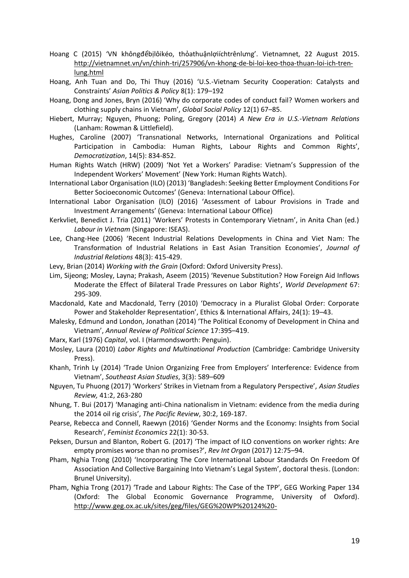- Hoang C (2015) 'VN khôngđểbịlôikéo, thỏathuậnlợiíchtrênlưng'. Vietnamnet, 22 August 2015. [http://vietnamnet.vn/vn/chinh-tri/257906/vn-khong-de-bi-loi-keo-thoa-thuan-loi-ich-tren](http://vietnamnet.vn/vn/chinh-tri/257906/vn-khong-de-bi-loi-keo-thoa-thuan-loi-ich-tren-lung.html)[lung.html](http://vietnamnet.vn/vn/chinh-tri/257906/vn-khong-de-bi-loi-keo-thoa-thuan-loi-ich-tren-lung.html)
- Hoang, Anh Tuan and Do, Thi Thuy (2016) 'U.S.-Vietnam Security Cooperation: Catalysts and Constraints' *Asian Politics & Policy* 8(1): 179–192
- Hoang, Dong and Jones, Bryn (2016) 'Why do corporate codes of conduct fail? Women workers and clothing supply chains in Vietnam', *Global Social Policy* 12(1) 67–85.
- Hiebert, Murray; Nguyen, Phuong; Poling, Gregory (2014) *A New Era in U.S.-Vietnam Relations*  (Lanham: Rowman & Littlefield).
- Hughes, Caroline (2007) 'Transnational Networks, International Organizations and Political Participation in Cambodia: Human Rights, Labour Rights and Common Rights', *Democratization*, 14(5): 834-852.
- Human Rights Watch (HRW) (2009) 'Not Yet a Workers' Paradise: Vietnam's Suppression of the Independent Workers' Movement' (New York: Human Rights Watch).
- International Labor Organisation (ILO) (2013) 'Bangladesh: Seeking Better Employment Conditions For Better Socioeconomic Outcomes' (Geneva: International Labour Office).
- International Labor Organisation (ILO) (2016) 'Assessment of Labour Provisions in Trade and Investment Arrangements' (Geneva: International Labour Office)
- Kerkvliet, Benedict J. Tria (2011) 'Workers' Protests in Contemporary Vietnam', in Anita Chan (ed.) *Labour in Vietnam* (Singapore: ISEAS).
- Lee, Chang-Hee (2006) 'Recent Industrial Relations Developments in China and Viet Nam: The Transformation of Industrial Relations in East Asian Transition Economies', *Journal of Industrial Relations* 48(3): 415-429.
- Levy, Brian (2014) *Working with the Grain* (Oxford: Oxford University Press).
- Lim, Sijeong; Mosley, Layna; Prakash, Aseem (2015) 'Revenue Substitution? How Foreign Aid Inflows Moderate the Effect of Bilateral Trade Pressures on Labor Rights', *World Development* 67: 295-309.
- Macdonald, Kate and Macdonald, Terry (2010) 'Democracy in a Pluralist Global Order: Corporate Power and Stakeholder Representation', Ethics & International Affairs, 24(1): 19–43.
- Malesky, Edmund and London, Jonathan (2014) 'The Political Economy of Development in China and Vietnam', *Annual Review of Political Science* 17:395–419.
- Marx, Karl (1976) *Capital*, vol. I (Harmondsworth: Penguin).
- Mosley, Laura (2010) *Labor Rights and Multinational Production* (Cambridge: Cambridge University Press).
- Khanh, Trinh Ly (2014) 'Trade Union Organizing Free from Employers' Interference: Evidence from Vietnam', *Southeast Asian Studies*, 3(3): 589–609
- Nguyen, Tu Phuong (2017) 'Workers' Strikes in Vietnam from a Regulatory Perspective', *Asian Studies Review,* 41:2, 263-280
- Nhung, T. Bui (2017) 'Managing anti-China nationalism in Vietnam: evidence from the media during the 2014 oil rig crisis', *The Pacific Review*, 30:2, 169-187.
- Pearse, Rebecca and Connell, Raewyn (2016) 'Gender Norms and the Economy: Insights from Social Research', *Feminist Economics* 22(1): 30-53.
- Peksen, Dursun and Blanton, Robert G. (2017) 'The impact of ILO conventions on worker rights: Are empty promises worse than no promises?', *Rev Int Organ* (2017) 12:75–94.
- Pham, Nghia Trong (2010) 'Incorporating The Core International Labour Standards On Freedom Of Association And Collective Bargaining Into Vietnam's Legal System', doctoral thesis. (London: Brunel University).
- Pham, Nghia Trong (2017) 'Trade and Labour Rights: The Case of the TPP', GEG Working Paper 134 (Oxford: The Global Economic Governance Programme, University of Oxford). [http://www.geg.ox.ac.uk/sites/geg/files/GEG%20WP%20124%20-](http://www.geg.ox.ac.uk/sites/geg/files/GEG%20WP%20124%20-%20Trade%20%26%20Labour%20Rights%20%20The%20Case%20of%20the%20TPP%20-%20Nghia%20Trong%20Pham_0.pdf)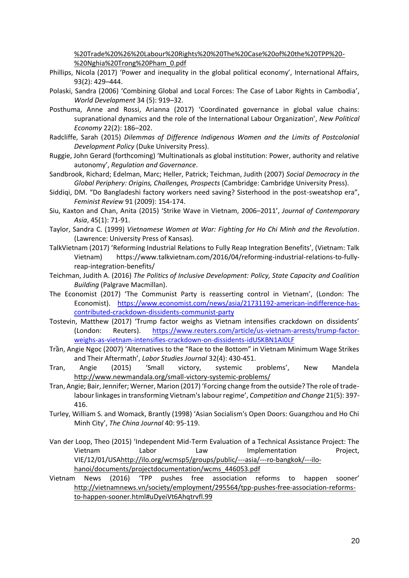[%20Trade%20%26%20Labour%20Rights%20%20The%20Case%20of%20the%20TPP%20-](http://www.geg.ox.ac.uk/sites/geg/files/GEG%20WP%20124%20-%20Trade%20%26%20Labour%20Rights%20%20The%20Case%20of%20the%20TPP%20-%20Nghia%20Trong%20Pham_0.pdf) [%20Nghia%20Trong%20Pham\\_0.pdf](http://www.geg.ox.ac.uk/sites/geg/files/GEG%20WP%20124%20-%20Trade%20%26%20Labour%20Rights%20%20The%20Case%20of%20the%20TPP%20-%20Nghia%20Trong%20Pham_0.pdf)

- Phillips, Nicola (2017) 'Power and inequality in the global political economy', International Affairs, 93(2): 429–444.
- Polaski, Sandra (2006) 'Combining Global and Local Forces: The Case of Labor Rights in Cambodia', *World Development* 34 (5): 919–32.
- Posthuma, Anne and Rossi, Arianna (2017) 'Coordinated governance in global value chains: supranational dynamics and the role of the International Labour Organization', *New Political Economy* 22(2): 186–202.
- Radcliffe, Sarah (2015) *Dilemmas of Difference Indigenous Women and the Limits of Postcolonial Development Policy* (Duke University Press).
- Ruggie, John Gerard (forthcoming) 'Multinationals as global institution: Power, authority and relative autonomy', *Regulation and Governance*.
- Sandbrook, Richard; Edelman, Marc; Heller, Patrick; Teichman, Judith (2007) *Social Democracy in the Global Periphery: Origins, Challenges, Prospects* (Cambridge: Cambridge University Press).
- Siddiqi, DM. "Do Bangladeshi factory workers need saving? Sisterhood in the post-sweatshop era", *Feminist Review* 91 (2009): 154-174.
- Siu, Kaxton and Chan, Anita (2015) 'Strike Wave in Vietnam, 2006–2011', *Journal of Contemporary Asia*, 45(1): 71-91.
- Taylor, Sandra C. (1999) *Vietnamese Women at War: Fighting for Ho Chi Minh and the Revolution*. (Lawrence: University Press of Kansas).
- TalkVietnam (2017) 'Reforming Industrial Relations to Fully Reap Integration Benefits', (Vietnam: Talk Vietnam) https://www.talkvietnam.com/2016/04/reforming-industrial-relations-to-fullyreap-integration-benefits/
- Teichman, Judith A. (2016) *The Politics of Inclusive Development: Policy, State Capacity and Coalition Building* (Palgrave Macmillan).
- The Economist (2017) 'The Communist Party is reasserting control in Vietnam', (London: The Economist). [https://www.economist.com/news/asia/21731192-american-indifference-has](https://www.economist.com/news/asia/21731192-american-indifference-has-contributed-crackdown-dissidents-communist-party)[contributed-crackdown-dissidents-communist-party](https://www.economist.com/news/asia/21731192-american-indifference-has-contributed-crackdown-dissidents-communist-party)
- Tostevin, Matthew (2017) 'Trump factor weighs as Vietnam intensifies crackdown on dissidents' (London: Reuters). [https://www.reuters.com/article/us-vietnam-arrests/trump-factor](https://www.reuters.com/article/us-vietnam-arrests/trump-factor-weighs-as-vietnam-intensifies-crackdown-on-dissidents-idUSKBN1AI0LF)[weighs-as-vietnam-intensifies-crackdown-on-dissidents-idUSKBN1AI0LF](https://www.reuters.com/article/us-vietnam-arrests/trump-factor-weighs-as-vietnam-intensifies-crackdown-on-dissidents-idUSKBN1AI0LF)
- Trần, Angie Ngoc (2007) 'Alternatives to the "Race to the Bottom" in Vietnam Minimum Wage Strikes and Their Aftermath', *Labor Studies Journal* 32(4): 430-451.
- Tran, Angie (2015) 'Small victory, systemic problems', New Mandela <http://www.newmandala.org/small-victory-systemic-problems/>
- Tran, Angie; Bair, Jennifer; Werner, Marion (2017) 'Forcing change from the outside? The role of tradelabour linkages in transforming Vietnam's labour regime', *Competition and Change* 21(5): 397- 416.
- Turley, William S. and Womack, Brantly (1998) 'Asian Socialism's Open Doors: Guangzhou and Ho Chi Minh City', *The China Journal* 40: 95-119.
- Van der Loop, Theo (2015) 'Independent Mid-Term Evaluation of a Technical Assistance Project: The Vietnam Labor Law Implementation Project, VIE/12/01/US[Ahttp://ilo.org/wcmsp5/groups/public/---asia/---ro-bangkok/---ilo](http://ilo.org/wcmsp5/groups/public/---asia/---ro-bangkok/---ilo-hanoi/documents/projectdocumentation/wcms_446053.pdf)[hanoi/documents/projectdocumentation/wcms\\_446053.pdf](http://ilo.org/wcmsp5/groups/public/---asia/---ro-bangkok/---ilo-hanoi/documents/projectdocumentation/wcms_446053.pdf)
- Vietnam News (2016) 'TPP pushes free association reforms to happen sooner' [http://vietnamnews.vn/society/employment/295564/tpp-pushes-free-association-reforms](http://vietnamnews.vn/society/employment/295564/tpp-pushes-free-association-reforms-to-happen-sooner.html#uDyeiVt6Ahqtrvfl.99)[to-happen-sooner.html#uDyeiVt6Ahqtrvfl.99](http://vietnamnews.vn/society/employment/295564/tpp-pushes-free-association-reforms-to-happen-sooner.html#uDyeiVt6Ahqtrvfl.99)